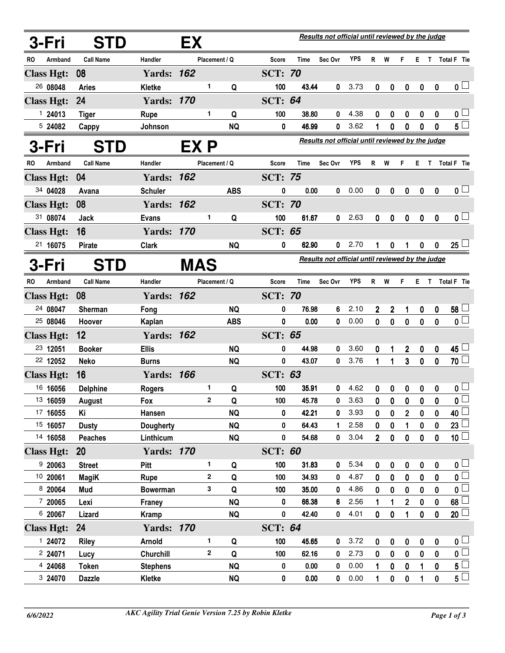| 3-Fri             | <b>STD</b>       | Results not official until reviewed by the judge<br>EX |            |                |            |                |                                                  |                                                  |            |                |                |                |                  |                  |                           |
|-------------------|------------------|--------------------------------------------------------|------------|----------------|------------|----------------|--------------------------------------------------|--------------------------------------------------|------------|----------------|----------------|----------------|------------------|------------------|---------------------------|
| RO<br>Armband     | <b>Call Name</b> | Handler                                                |            | Placement / Q  |            | <b>Score</b>   | Time                                             | Sec Ovr                                          | <b>YPS</b> | R W            |                | F              | E.               | T.               | Total F Tie               |
| <b>Class Hgt:</b> | 08               | <b>Yards: 162</b>                                      |            |                |            | <b>SCT: 70</b> |                                                  |                                                  |            |                |                |                |                  |                  |                           |
| 26 08048          | <b>Aries</b>     | Kletke                                                 |            | 1              | Q          | 100            | 43.44                                            | 0                                                | 3.73       | $\bf{0}$       | 0              | 0              | $\boldsymbol{0}$ | $\boldsymbol{0}$ | $\mathbf{0}$ $\Box$       |
| <b>Class Hgt:</b> | 24               | <b>Yards: 170</b>                                      |            |                |            | <b>SCT: 64</b> |                                                  |                                                  |            |                |                |                |                  |                  |                           |
| 124013            | <b>Tiger</b>     | <b>Rupe</b>                                            |            | 1              | Q          | 100            | 38.80                                            | 0                                                | 4.38       | 0              | 0              | 0              | $\boldsymbol{0}$ | $\boldsymbol{0}$ | 0 <sub>1</sub>            |
| 5 24082           | Cappy            | Johnson                                                |            |                | <b>NQ</b>  | 0              | 46.99                                            | 0                                                | 3.62       | 1              | 0              | 0              | 0                | 0                | $5^{\square}$             |
| 3-Fri             | <b>STD</b>       |                                                        | EX P       |                |            |                |                                                  | Results not official until reviewed by the judge |            |                |                |                |                  |                  |                           |
| Armband<br>RO     | <b>Call Name</b> | Handler                                                |            | Placement / Q  |            | <b>Score</b>   | <b>Time</b>                                      | Sec Ovr                                          | <b>YPS</b> | R              | W              | F              | E.               | T                | Total F Tie               |
| <b>Class Hgt:</b> | 04               | <b>Yards: 162</b>                                      |            |                |            | <b>SCT: 75</b> |                                                  |                                                  |            |                |                |                |                  |                  |                           |
| 34 04028          | Avana            | <b>Schuler</b>                                         |            |                | <b>ABS</b> | 0              | 0.00                                             | 0                                                | 0.00       | 0              | 0              | 0              | 0                | 0                | $\mathbf{0}$ $\Box$       |
| <b>Class Hgt:</b> | 08               | <b>Yards: 162</b>                                      |            |                |            | <b>SCT: 70</b> |                                                  |                                                  |            |                |                |                |                  |                  |                           |
| 31 08074          | Jack             | <b>Evans</b>                                           |            | 1              | Q          | 100            | 61.67                                            | 0                                                | 2.63       | $\mathbf 0$    | 0              | $\mathbf 0$    | $\mathbf 0$      | $\mathbf 0$      | $\overline{\mathfrak{o}}$ |
| <b>Class Hgt:</b> | 16               | <b>Yards: 170</b>                                      |            |                |            | <b>SCT: 65</b> |                                                  |                                                  |            |                |                |                |                  |                  |                           |
| 21 16075          | <b>Pirate</b>    | <b>Clark</b>                                           |            |                | <b>NQ</b>  | 0              | 62.90                                            | 0                                                | 2.70       |                | 0              |                | 0                | 0                | $25\perp$                 |
| 3-Fri             | <b>STD</b>       |                                                        | <b>MAS</b> |                |            |                | Results not official until reviewed by the judge |                                                  |            |                |                |                |                  |                  |                           |
| Armband<br>RO     | <b>Call Name</b> | Handler                                                |            | Placement / Q  |            | <b>Score</b>   | <b>Time</b>                                      | Sec Ovr                                          | <b>YPS</b> | R              | W              | F.             | E.               | $\mathbf{T}$     | Total F Tie               |
| <b>Class Hgt:</b> | 08               | <b>Yards: 162</b>                                      |            |                |            | <b>SCT: 70</b> |                                                  |                                                  |            |                |                |                |                  |                  |                           |
| 24 08047          | <b>Sherman</b>   | Fong                                                   |            |                | <b>NQ</b>  | 0              | 76.98                                            | 6                                                | 2.10       | 2              | $\overline{2}$ | 1              | $\boldsymbol{0}$ | $\boldsymbol{0}$ | $58\perp$                 |
| 25 08046          | Hoover           | Kaplan                                                 |            |                | <b>ABS</b> | 0              | 0.00                                             | 0                                                | 0.00       | $\mathbf{0}$   | $\bf{0}$       | $\mathbf 0$    | $\mathbf 0$      | $\mathbf{0}$     | $\overline{\mathbf{0}}$   |
| <b>Class Hgt:</b> | 12               | <b>Yards: 162</b>                                      |            |                |            | <b>SCT: 65</b> |                                                  |                                                  |            |                |                |                |                  |                  |                           |
| 23 12051          | <b>Booker</b>    | <b>Ellis</b>                                           |            |                | <b>NQ</b>  | 0              | 44.98                                            | 0                                                | 3.60       | 0              | 1              | 2              | $\boldsymbol{0}$ | $\pmb{0}$        | $45\perp$                 |
| 22 12052          | <b>Neko</b>      | <b>Burns</b>                                           |            |                | <b>NQ</b>  | 0              | 43.07                                            | 0                                                | 3.76       | 1              | 1              | $\mathbf{3}$   | $\mathbf 0$      | $\mathbf{0}$     | 70 <sup>1</sup>           |
| <b>Class Hgt:</b> | 16               | <b>Yards: 166</b>                                      |            |                |            | <b>SCT: 63</b> |                                                  |                                                  |            |                |                |                |                  |                  |                           |
| 16 16056          | <b>Delphine</b>  | <b>Rogers</b>                                          |            | 1              | Q          | 100            | 35.91                                            | 0                                                | 4.62       | 0              | 0              | 0              | 0                | 0                | 0 L                       |
| 13 16059          | <b>August</b>    | Fox                                                    |            | 2              | Q          | 100            | 45.78                                            | 0                                                | 3.63       | 0              | 0              | 0              | 0                | 0                | $\overline{\mathbf{0}}$   |
| 17 16055          | Κi               | Hansen                                                 |            |                | <b>NQ</b>  | 0              | 42.21                                            | 0                                                | 3.93       | 0              | 0              | $\overline{2}$ | $\mathbf 0$      | 0                | $40$ $\Box$               |
| 15 16057          | <b>Dusty</b>     | Dougherty                                              |            |                | <b>NQ</b>  | 0              | 64.43                                            | 1                                                | 2.58       | 0              | 0              | 1              | 0                | 0                | $23 \Box$                 |
| 14 16058          | <b>Peaches</b>   | Linthicum                                              |            |                | <b>NQ</b>  | 0              | 54.68                                            | 0                                                | 3.04       | $\overline{2}$ | $\pmb{0}$      | 0              | $\pmb{0}$        | 0                | 10 <sup>1</sup>           |
| <b>Class Hgt:</b> | <b>20</b>        | <b>Yards: 170</b>                                      |            |                |            | <b>SCT: 60</b> |                                                  |                                                  |            |                |                |                |                  |                  |                           |
| 920063            | <b>Street</b>    | Pitt                                                   |            | 1              | Q          | 100            | 31.83                                            | 0                                                | 5.34       | 0              | 0              | 0              | $\pmb{0}$        | $\pmb{0}$        | 0 <sub>1</sub>            |
| 10 20061          | <b>MagiK</b>     | Rupe                                                   |            | $\overline{2}$ | Q          | 100            | 34.93                                            | 0                                                | 4.87       | 0              | $\mathbf 0$    | 0              | $\mathbf 0$      | $\mathbf{0}$     | $\overline{\mathbf{0}}$   |
| 8 20064           | Mud              | <b>Bowerman</b>                                        |            | 3              | Q          | 100            | 35.00                                            | 0                                                | 4.86       | 0              | 0              | 0              | 0                | 0                | $\overline{\mathbf{0}}$   |
| 7 20065           | Lexi             | Franey                                                 |            |                | <b>NQ</b>  | 0              | 66.38                                            | 6                                                | 2.56       | 1              | 1              | $\overline{2}$ | $\pmb{0}$        | $\pmb{0}$        | 68                        |
| 6 20067           | Lizard           | <b>Kramp</b>                                           |            |                | <b>NQ</b>  | 0              | 42.40                                            | 0                                                | 4.01       | $\mathbf 0$    | 0              | 1              | 0                | 0                | 20                        |
| <b>Class Hgt:</b> | 24               | <b>Yards: 170</b>                                      |            |                |            | <b>SCT: 64</b> |                                                  |                                                  |            |                |                |                |                  |                  |                           |
| 1 24072           | <b>Riley</b>     | Arnold                                                 |            | 1              | Q          | 100            | 45.65                                            | 0                                                | 3.72       | 0              | 0              | $\pmb{0}$      | $\pmb{0}$        | $\bf{0}$         | 0 <sub>1</sub>            |
| 2 24071           | Lucy             | Churchill                                              |            | 2              | Q          | 100            | 62.16                                            | 0                                                | 2.73       | 0              | $\bf{0}$       | 0              | 0                | 0                | $\overline{\mathbf{0}}$   |
| 4 24068           | <b>Token</b>     | <b>Stephens</b>                                        |            |                | <b>NQ</b>  | 0              | 0.00                                             | 0                                                | 0.00       |                | 0              | 0              | 1                | 0                | $5^{\square}$             |
| 3 24070           | <b>Dazzle</b>    | <b>Kletke</b>                                          |            |                | <b>NQ</b>  | 0              | 0.00                                             | 0                                                | 0.00       |                | 0              | 0              |                  | 0                | $\overline{5}$            |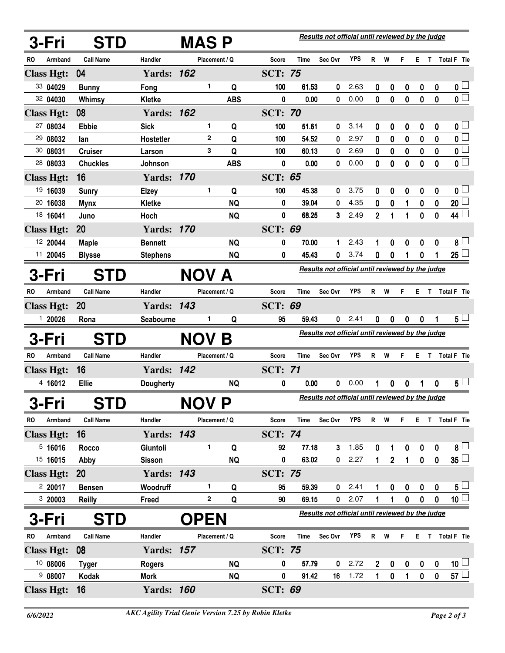|    | 3-Fri             | <b>STD</b>       |                   | Results not official until reviewed by the judge<br><b>MASP</b> |              |               |                |                                                  |                                                  |            |                |                |             |                  |                  |                         |
|----|-------------------|------------------|-------------------|-----------------------------------------------------------------|--------------|---------------|----------------|--------------------------------------------------|--------------------------------------------------|------------|----------------|----------------|-------------|------------------|------------------|-------------------------|
| RO | Armband           | <b>Call Name</b> | Handler           |                                                                 |              | Placement / Q | <b>Score</b>   | Time                                             | Sec Ovr                                          | <b>YPS</b> | R.             | W              | F.          | E.               |                  | T Total F Tie           |
|    | <b>Class Hgt:</b> | 04               | <b>Yards: 162</b> |                                                                 |              |               | <b>SCT: 75</b> |                                                  |                                                  |            |                |                |             |                  |                  |                         |
|    | 33 04029          | <b>Bunny</b>     | Fong              |                                                                 | 1.           | Q             | 100            | 61.53                                            | 0                                                | 2.63       | 0              | 0              | 0           | $\bf{0}$         | $\boldsymbol{0}$ | $\mathbf{0}$ $\Box$     |
|    | 32 04030          | Whimsy           | Kletke            |                                                                 |              | <b>ABS</b>    | 0              | 0.00                                             | 0                                                | 0.00       | 0              | $\bf{0}$       | $\mathbf 0$ | $\mathbf 0$      | 0                | $\overline{\mathbf{0}}$ |
|    | <b>Class Hgt:</b> | 08               | <b>Yards: 162</b> |                                                                 |              |               | <b>SCT: 70</b> |                                                  |                                                  |            |                |                |             |                  |                  |                         |
|    | 27 08034          | <b>Ebbie</b>     | <b>Sick</b>       |                                                                 | 1            | Q             | 100            | 51.61                                            | 0                                                | 3.14       | 0              | 0              | 0           | $\boldsymbol{0}$ | $\boldsymbol{0}$ | $\mathbf{0}$ $\Box$     |
|    | 29 08032          | lan              | Hostetler         |                                                                 | $\mathbf{2}$ | Q             | 100            | 54.52                                            | 0                                                | 2.97       | 0              | 0              | 0           | $\bf{0}$         | 0                | $\overline{\mathbf{0}}$ |
|    | 30 08031          | <b>Cruiser</b>   | Larson            |                                                                 | 3            | Q             | 100            | 60.13                                            | 0                                                | 2.69       | 0              | 0              | 0           | 0                | 0                | $\overline{\mathbf{0}}$ |
|    | 28 08033          | <b>Chuckles</b>  | Johnson           |                                                                 |              | <b>ABS</b>    | 0              | 0.00                                             | 0                                                | 0.00       | 0              | 0              | 0           | $\mathbf 0$      | $\mathbf{0}$     | $\overline{\mathbf{0}}$ |
|    | <b>Class Hgt:</b> | 16               | <b>Yards: 170</b> |                                                                 |              |               | SCT:           | 65                                               |                                                  |            |                |                |             |                  |                  |                         |
|    | 19 16039          | <b>Sunry</b>     | <b>Elzey</b>      |                                                                 | 1            | Q             | 100            | 45.38                                            | 0                                                | 3.75       | 0              | 0              | 0           | 0                | 0                | 0 <sub>1</sub>          |
|    | 20 16038          | <b>Mynx</b>      | <b>Kletke</b>     |                                                                 |              | <b>NQ</b>     | 0              | 39.04                                            | 0                                                | 4.35       | $\mathbf{0}$   | 0              | 1           | $\mathbf 0$      | $\mathbf 0$      | $20$ $\Box$             |
|    | 18 16041          | Juno             | Hoch              |                                                                 |              | <b>NQ</b>     | 0              | 68.25                                            | 3                                                | 2.49       | $\overline{2}$ | 1              | 1           | 0                | 0                | $44 \Box$               |
|    | <b>Class Hgt:</b> | 20               | <b>Yards: 170</b> |                                                                 |              |               | <b>SCT: 69</b> |                                                  |                                                  |            |                |                |             |                  |                  |                         |
|    | 12 20044          | <b>Maple</b>     | <b>Bennett</b>    |                                                                 |              | <b>NQ</b>     | 0              | 70.00                                            | 1                                                | 2.43       |                | 0              | 0           | 0                | 0                | 8 <sup>L</sup>          |
|    | 11 20045          | <b>Blysse</b>    | <b>Stephens</b>   |                                                                 |              | <b>NQ</b>     | 0              | 45.43                                            | 0                                                | 3.74       | 0              | 0              | 1           | 0                |                  | $25\perp$               |
|    | 3-Fri             | <b>STD</b>       |                   | NOV A                                                           |              |               |                |                                                  | Results not official until reviewed by the judge |            |                |                |             |                  |                  |                         |
| RO | Armband           | <b>Call Name</b> | Handler           |                                                                 |              | Placement / Q | Score          | <b>Time</b>                                      | Sec Ovr                                          | <b>YPS</b> | R              | W              | F           | E.               | T                | Total F Tie             |
|    | <b>Class Hgt:</b> | <b>20</b>        | <b>Yards: 143</b> |                                                                 |              |               | <b>SCT: 69</b> |                                                  |                                                  |            |                |                |             |                  |                  |                         |
|    | 1 20026           | Rona             | Seabourne         |                                                                 | 1            | Q             | 95             | 59.43                                            | 0                                                | 2.41       | 0              | 0              | 0           | $\bf{0}$         | 1                | $5^{\perp}$             |
|    | 3-Fri             | <b>STD</b>       |                   | <b>NOV</b>                                                      |              | Β             |                | Results not official until reviewed by the judge |                                                  |            |                |                |             |                  |                  |                         |
| RO | Armband           | <b>Call Name</b> | Handler           |                                                                 |              | Placement / Q | Score          | Time                                             | Sec Ovr                                          | <b>YPS</b> | R W            |                | F.          | Е.               | L                | Total F Tie             |
|    | <b>Class Hgt:</b> | 16               | <b>Yards: 142</b> |                                                                 |              |               | <b>SCT: 71</b> |                                                  |                                                  |            |                |                |             |                  |                  |                         |
|    | 4 16012           | <b>Ellie</b>     | Dougherty         |                                                                 |              | <b>NQ</b>     | 0              | 0.00                                             | 0                                                | 0.00       |                | 0              | 0           |                  | 0                | $5 -$                   |
|    | 3-Fri             | <b>STD</b>       |                   | <b>NOV P</b>                                                    |              |               |                |                                                  | Results not official until reviewed by the judge |            |                |                |             |                  |                  |                         |
| RO | Armband           | <b>Call Name</b> | Handler           |                                                                 |              | Placement / Q | Score          | <b>Time</b>                                      | Sec Ovr                                          | <b>YPS</b> | R W            |                | F.          |                  |                  | E T Total F Tie         |
|    | <b>Class Hgt:</b> | 16               | <b>Yards: 143</b> |                                                                 |              |               | <b>SCT: 74</b> |                                                  |                                                  |            |                |                |             |                  |                  |                         |
|    | 5,16016           | Rocco            | Giuntoli          |                                                                 | 1            | Q             | 92             | 77.18                                            | 3                                                | 1.85       | 0              | 1              | 0           | 0                | 0                | $8+$                    |
|    | 15 16015          | Abby             | <b>Sisson</b>     |                                                                 |              | <b>NQ</b>     | 0              | 63.02                                            | 0                                                | 2.27       | 1              | $\overline{2}$ | 1           | $\pmb{0}$        | $\mathbf 0$      | $35\perp$               |
|    | <b>Class Hgt:</b> | <b>20</b>        | <b>Yards: 143</b> |                                                                 |              |               | <b>SCT: 75</b> |                                                  |                                                  |            |                |                |             |                  |                  |                         |
|    | 220017            | <b>Bensen</b>    | Woodruff          |                                                                 | 1            | Q             | 95             | 59.39                                            | 0                                                | 2.41       |                | 0              | 0           | 0                | 0                | $5^{\perp}$             |
|    | 3 20003           | <b>Reilly</b>    | Freed             |                                                                 | 2            | Q             | 90             | 69.15                                            | 0                                                | 2.07       | 1              | 1              | 0           | $\pmb{0}$        | $\mathbf 0$      | $10\square$             |
|    | 3-Fri             | <b>STD</b>       |                   | <b>OPEN</b>                                                     |              |               |                |                                                  | Results not official until reviewed by the judge |            |                |                |             |                  |                  |                         |
| RO | Armband           | <b>Call Name</b> | Handler           |                                                                 |              | Placement / Q | Score          | <b>Time</b>                                      | Sec Ovr                                          | <b>YPS</b> | R              | W              | F.          | E.               | $\mathbf{T}$     | Total F Tie             |
|    | <b>Class Hgt:</b> | 08               | <b>Yards: 157</b> |                                                                 |              |               | <b>SCT: 75</b> |                                                  |                                                  |            |                |                |             |                  |                  |                         |
|    | 10 08006          | <b>Tyger</b>     | <b>Rogers</b>     |                                                                 |              | <b>NQ</b>     | 0              | 57.79                                            | 0                                                | 2.72       | $\mathbf 2$    | 0              | 0           | 0                | 0                | 10 <sup>1</sup>         |
|    | 9 08007           | Kodak            | <b>Mork</b>       |                                                                 |              | <b>NQ</b>     | 0              | 91.42                                            | 16                                               | 1.72       | 1              | 0              | 1           | $\pmb{0}$        | 0                | $57 \Box$               |
|    | <b>Class Hgt:</b> | 16               | <b>Yards: 160</b> |                                                                 |              |               | <b>SCT: 69</b> |                                                  |                                                  |            |                |                |             |                  |                  |                         |